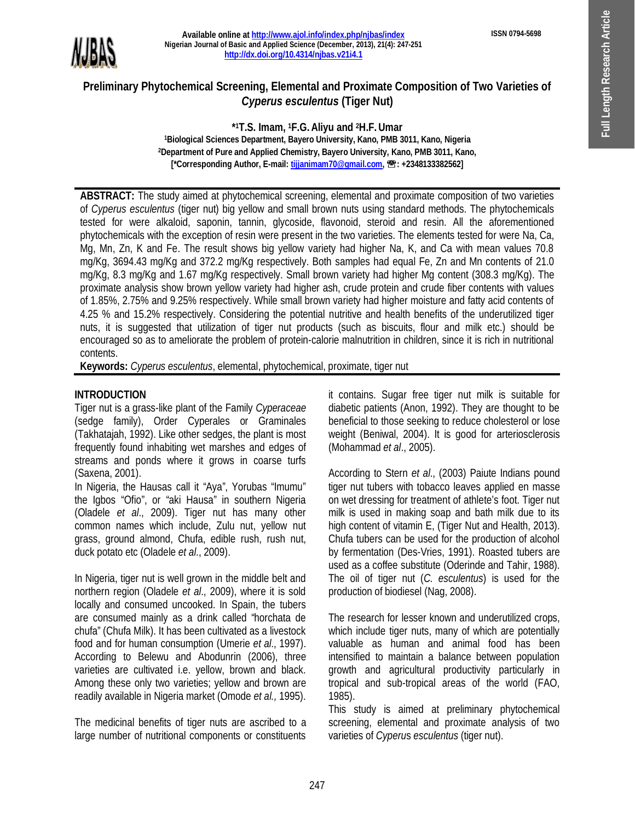**ISSN 0794-5698**



#### **Available online at http://www.ajol.info/index.php/njbas/index Nigerian Journal of Basic and Applied Science (December, 2013), 21(4): 247-251 http://dx.doi.org/10.4314/njbas.v21i4.1**

# **Preliminary Phytochemical Screening, Elemental and Proximate Composition of Two Varieties of**  *Cyperus esculentus* **(Tiger Nut)**

**\* <sup>1</sup>T.S. Imam, <sup>1</sup>F.G.Aliyu and 2H.F.Umar <sup>1</sup>Biological Sciences Department, Bayero University, Kano, PMB 3011, Kano, Nigeria <sup>2</sup>Department of Pure and Applied Chemistry, Bayero University, Kano, PMB 3011, Kano,**  [\*Corresponding Author, E-mail: tijjanimam70@gmail.com, <sup>•</sup> 2348133382562]

**ABSTRACT:** The study aimed at phytochemical screening, elemental and proximate composition of two varieties of *Cyperus esculentus* (tiger nut) big yellow and small brown nuts using standard methods. The phytochemicals tested for were alkaloid, saponin, tannin, glycoside, flavonoid, steroid and resin. All the aforementioned phytochemicals with the exception of resin were present in the two varieties. The elements tested for were Na, Ca, Mg, Mn, Zn, K and Fe. The result shows big yellow variety had higher Na, K, and Ca with mean values 70.8 mg/Kg, 3694.43 mg/Kg and 372.2 mg/Kg respectively. Both samples had equal Fe, Zn and Mn contents of 21.0 mg/Kg, 8.3 mg/Kg and 1.67 mg/Kg respectively. Small brown variety had higher Mg content (308.3 mg/Kg). The proximate analysis show brown yellow variety had higher ash, crude protein and crude fiber contents with values of 1.85%, 2.75% and 9.25% respectively. While small brown variety had higher moisture and fatty acid contents of 4.25 % and 15.2% respectively. Considering the potential nutritive and health benefits of the underutilized tiger nuts, it is suggested that utilization of tiger nut products (such as biscuits, flour and milk etc.) should be encouraged so as to ameliorate the problem of protein-calorie malnutrition in children, since it is rich in nutritional contents.

**Keywords:** *Cyperus esculentus*, elemental, phytochemical, proximate, tiger nut

## **INTRODUCTION**

Tiger nut is a grass-like plant of the Family *Cyperaceae*  (sedge family), Order Cyperales or Graminales (Takhatajah, 1992). Like other sedges, the plant is most frequently found inhabiting wet marshes and edges of streams and ponds where it grows in coarse turfs (Saxena, 2001).

In Nigeria, the Hausas call it "Aya", Yorubas "Imumu" the Igbos "Ofio", or "aki Hausa" in southern Nigeria (Oladele *et al*., 2009). Tiger nut has many other common names which include, Zulu nut, yellow nut grass, ground almond, Chufa, edible rush, rush nut, duck potato etc (Oladele *et al*., 2009).

In Nigeria, tiger nut is well grown in the middle belt and northern region (Oladele *et al*., 2009), where it is sold locally and consumed uncooked. In Spain, the tubers are consumed mainly as a drink called "horchata de chufa" (Chufa Milk). It has been cultivated as a livestock food and for human consumption (Umerie *et al*., 1997). According to Belewu and Abodunrin (2006), three varieties are cultivated i.e. yellow, brown and black. Among these only two varieties; yellow and brown are readily available in Nigeria market (Omode *et al.,* 1995).

The medicinal benefits of tiger nuts are ascribed to a large number of nutritional components or constituents it contains. Sugar free tiger nut milk is suitable for diabetic patients (Anon, 1992). They are thought to be beneficial to those seeking to reduce cholesterol or lose weight (Beniwal, 2004). It is good for arteriosclerosis (Mohammad *et al*., 2005).

According to Stern *et al*., (2003) Paiute Indians pound tiger nut tubers with tobacco leaves applied en masse on wet dressing for treatment of athlete's foot. Tiger nut milk is used in making soap and bath milk due to its high content of vitamin E, (Tiger Nut and Health, 2013). Chufa tubers can be used for the production of alcohol by fermentation (Des-Vries, 1991). Roasted tubers are used as a coffee substitute (Oderinde and Tahir, 1988). The oil of tiger nut (*C. esculentus*) is used for the production of biodiesel (Nag, 2008).

The research for lesser known and underutilized crops, which include tiger nuts, many of which are potentially valuable as human and animal food has been intensified to maintain a balance between population growth and agricultural productivity particularly in tropical and sub-tropical areas of the world (FAO, 1985).

This study is aimed at preliminary phytochemical screening, elemental and proximate analysis of two varieties of *Cyperu*s *esculentus* (tiger nut).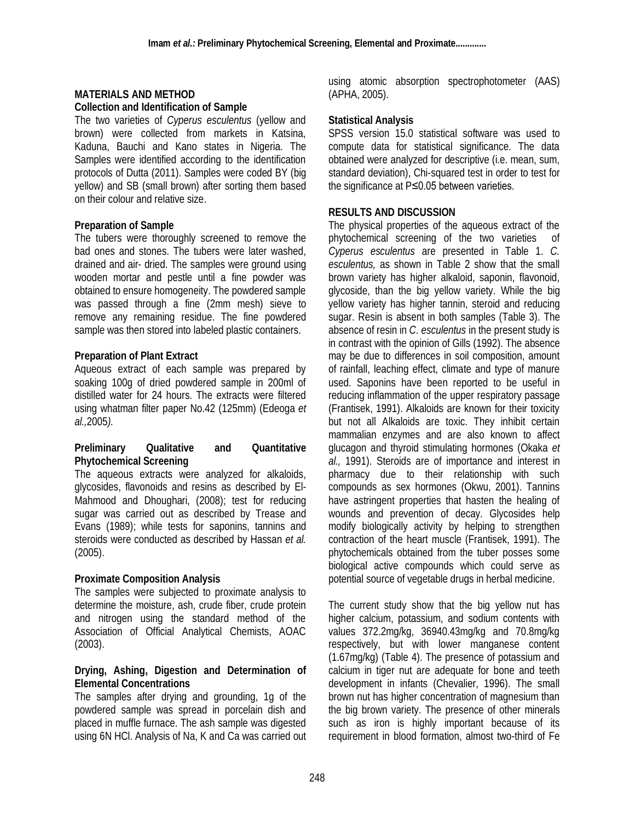#### **MATERIALS AND METHOD Collection and Identification of Sample**

The two varieties of *Cyperus esculentus* (yellow and brown) were collected from markets in Katsina, Kaduna, Bauchi and Kano states in Nigeria. The Samples were identified according to the identification protocols of Dutta (2011). Samples were coded BY (big yellow) and SB (small brown) after sorting them based

## **Preparation of Sample**

on their colour and relative size.

The tubers were thoroughly screened to remove the bad ones and stones. The tubers were later washed, drained and air- dried. The samples were ground using wooden mortar and pestle until a fine powder was obtained to ensure homogeneity. The powdered sample was passed through a fine (2mm mesh) sieve to remove any remaining residue. The fine powdered sample was then stored into labeled plastic containers.

### **Preparation of Plant Extract**

Aqueous extract of each sample was prepared by soaking 100g of dried powdered sample in 200ml of distilled water for 24 hours. The extracts were filtered using whatman filter paper No.42 (125mm) (Edeoga *et al.,*2005*).*

#### **Preliminary Qualitative and Quantitative Phytochemical Screening**

The aqueous extracts were analyzed for alkaloids, glycosides, flavonoids and resins as described by El-Mahmood and Dhoughari, (2008); test for reducing sugar was carried out as described by Trease and Evans (1989); while tests for saponins, tannins and steroids were conducted as described by Hassan *et al.* (2005).

### **Proximate Composition Analysis**

The samples were subjected to proximate analysis to determine the moisture, ash, crude fiber, crude protein and nitrogen using the standard method of the Association of Official Analytical Chemists, AOAC (2003).

#### **Drying, Ashing, Digestion and Determination of Elemental Concentrations**

The samples after drying and grounding, 1g of the powdered sample was spread in porcelain dish and placed in muffle furnace. The ash sample was digested using 6N HCl. Analysis of Na, K and Ca was carried out using atomic absorption spectrophotometer (AAS) (APHA, 2005).

# **Statistical Analysis**

SPSS version 15.0 statistical software was used to compute data for statistical significance. The data obtained were analyzed for descriptive (i.e. mean, sum, standard deviation), Chi-squared test in order to test for the significance at P≤0.05 between varieties.

## **RESULTS AND DISCUSSION**

The physical properties of the aqueous extract of the phytochemical screening of the two varieties of *Cyperus esculentus* are presented in Table 1. *C. esculentus,* as shown in Table 2 show that the small brown variety has higher alkaloid, saponin, flavonoid, glycoside, than the big yellow variety. While the big yellow variety has higher tannin, steroid and reducing sugar. Resin is absent in both samples (Table 3). The absence of resin in *C. esculentus* in the present study is in contrast with the opinion of Gills (1992). The absence may be due to differences in soil composition, amount of rainfall, leaching effect, climate and type of manure used. Saponins have been reported to be useful in reducing inflammation of the upper respiratory passage (Frantisek, 1991). Alkaloids are known for their toxicity but not all Alkaloids are toxic. They inhibit certain mammalian enzymes and are also known to affect glucagon and thyroid stimulating hormones (Okaka *et al.,* 1991). Steroids are of importance and interest in pharmacy due to their relationship with such compounds as sex hormones (Okwu, 2001). Tannins have astringent properties that hasten the healing of wounds and prevention of decay. Glycosides help modify biologically activity by helping to strengthen contraction of the heart muscle (Frantisek, 1991). The phytochemicals obtained from the tuber posses some biological active compounds which could serve as potential source of vegetable drugs in herbal medicine.

The current study show that the big yellow nut has higher calcium, potassium, and sodium contents with values 372.2mg/kg, 36940.43mg/kg and 70.8mg/kg respectively, but with lower manganese content (1.67mg/kg) (Table 4). The presence of potassium and calcium in tiger nut are adequate for bone and teeth development in infants (Chevalier, 1996). The small brown nut has higher concentration of magnesium than the big brown variety. The presence of other minerals such as iron is highly important because of its requirement in blood formation, almost two-third of Fe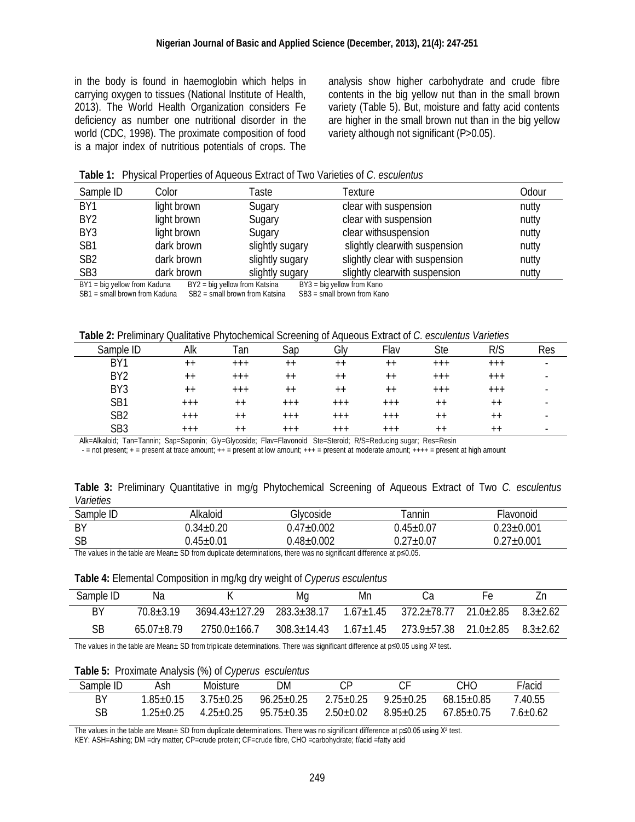in the body is found in haemoglobin which helps in carrying oxygen to tissues (National Institute of Health, 2013). The World Health Organization considers Fe deficiency as number one nutritional disorder in the world (CDC, 1998). The proximate composition of food is a major index of nutritious potentials of crops. The analysis show higher carbohydrate and crude fibre contents in the big yellow nut than in the small brown variety (Table 5). But, moisture and fatty acid contents are higher in the small brown nut than in the big yellow variety although not significant (P>0.05).

|  |  |  | <b>Table 1:</b> Physical Properties of Aqueous Extract of Two Varieties of C. esculentus |
|--|--|--|------------------------------------------------------------------------------------------|
|--|--|--|------------------------------------------------------------------------------------------|

| Sample ID                                                                                     | Color       | Taste           | Texture                        | Odour |  |  |
|-----------------------------------------------------------------------------------------------|-------------|-----------------|--------------------------------|-------|--|--|
| BY <sub>1</sub>                                                                               | light brown | Sugary          | clear with suspension          | nutty |  |  |
| BY <sub>2</sub>                                                                               | light brown | Sugary          | clear with suspension          | nutty |  |  |
| BY3                                                                                           | light brown | Sugary          | clear withsuspension           | nutty |  |  |
| SB <sub>1</sub>                                                                               | dark brown  | slightly sugary | slightly clearwith suspension  | nutty |  |  |
| SB <sub>2</sub>                                                                               | dark brown  | slightly sugary | slightly clear with suspension | nutty |  |  |
| SB <sub>3</sub>                                                                               | dark brown  | slightly sugary | slightly clearwith suspension  | nutty |  |  |
| BY1 = big yellow from Kaduna<br>BY2 = big yellow from Katsina<br>$BY3 = big$ yellow from Kano |             |                 |                                |       |  |  |

SB1 = small brown from Kaduna SB2 = small brown from Katsina SB3 = small brown from Kano

| Sample ID       | Alk     | Tan     | Sap             | Gly             | Flav            | <b>Ste</b> | R/S     | Res                      |
|-----------------|---------|---------|-----------------|-----------------|-----------------|------------|---------|--------------------------|
| BY1             | $++$    | $^{++}$ | $++$            | $++$            | $^{++}$         | $+ + +$    | $+ + +$ | $\overline{\phantom{a}}$ |
| BY <sub>2</sub> | $++$    | $+ + +$ | $^{\mathrm{+}}$ | $^{\mathrm{+}}$ | $++$            | $+ + +$    | $+ + +$ | $\overline{\phantom{a}}$ |
| BY <sub>3</sub> | $^{++}$ | $+++$   | $^{\mathrm{+}}$ | $^{\mathrm{+}}$ | $^{\mathrm{+}}$ | $+ + +$    | $+ + +$ | $\overline{\phantom{a}}$ |
| SB1             | $+++$   | $++$    | $+ + +$         | $+ + +$         | $+ + +$         | $++$       | $++$    | $\overline{\phantom{a}}$ |
| SB <sub>2</sub> | $+++$   | $++$    | $+ + +$         | $+ + +$         | $+ + +$         | $++$       | $++$    | $\overline{\phantom{a}}$ |
| SB <sub>3</sub> | $+++$   | $++$    | $+ + +$         | $+ + +$         | $+ + +$         | $++$       | $++$    | $\blacksquare$           |

Alk=Alkaloid; Tan=Tannin; Sap=Saponin; Gly=Glycoside; Flav=Flavonoid Ste=Steroid; R/S=Reducing sugar; Res=Resin

- = not present; + = present at trace amount; ++ = present at low amount; +++ = present at moderate amount; ++++ = present at high amount

|           |  | Table 3: Preliminary Quantitative in mg/g Phytochemical Screening of Aqueous Extract of Two C. esculentus |  |  |  |  |
|-----------|--|-----------------------------------------------------------------------------------------------------------|--|--|--|--|
| Varieties |  |                                                                                                           |  |  |  |  |

| Sample ID | Alkaloid        | Glycoside        | annin           | Flavonoid        |
|-----------|-----------------|------------------|-----------------|------------------|
| BY        | $0.34 \pm 0.20$ | $1.47{\pm}0.002$ | $0.45{\pm}0.07$ | $0.23 \pm 0.001$ |
| <b>SB</b> | $0.45{\pm}0.01$ | $.48{\pm}0.002$  | $0.27{\pm}0.07$ | $0.27 \pm 0.001$ |
|           |                 |                  |                 |                  |

The values in the table are Mean± SD from duplicate determinations, there was no significant difference at p≤0.05.

#### **Table 4:** Elemental Composition in mg/kg dry weight of *Cyperus esculentus*

| Sample ID | Na             |                              | Mq              | Mn              |                                                  |  |
|-----------|----------------|------------------------------|-----------------|-----------------|--------------------------------------------------|--|
| BY        | $70.8 + 3.19$  | $3694$ 43+127.29 283.3+38.17 |                 | $1.67 \pm 1.45$ | $372.2 + 78.77$ $21.0 + 2.85$ $8.3 + 2.62$       |  |
| SB        | $65.07 + 8.79$ | $2750.0 + 166.7$             | $308.3 + 14.43$ | $1.67 \pm 1.45$ | $273.9 \pm 57.38$ $21.0 \pm 2.85$ $8.3 \pm 2.62$ |  |

The values in the table are Mean± SD from triplicate determinations. There was significant difference at p≤0.05 using X<sup>2</sup> test.

**Table 5:** Proximate Analysis (%) of *Cyperus esculentus*

| Sample ID | Ash            | Moisture        | DM               | СP              |               | CНО.             | F/acid   |
|-----------|----------------|-----------------|------------------|-----------------|---------------|------------------|----------|
| ΒY        | $.85 \pm 0.15$ | $3.75 \pm 0.25$ | $96.25 \pm 0.25$ | $2.75 \pm 0.25$ | $9.25 + 0.25$ | $68.15 \pm 0.85$ | 7.40.55  |
| SB        | $1.25\pm0.25$  | $4.25 \pm 0.25$ | 95.75±0.35       | $2.50+0.02$     | $8.95 + 0.25$ | $67.85 + 0.75$   | 7.6±0.62 |

The values in the table are Mean± SD from duplicate determinations. There was no significant difference at p≤0.05 using X<sup>2</sup> test.

KEY: ASH=Ashing; DM =dry matter; CP=crude protein; CF=crude fibre, CHO =carbohydrate; f/acid =fatty acid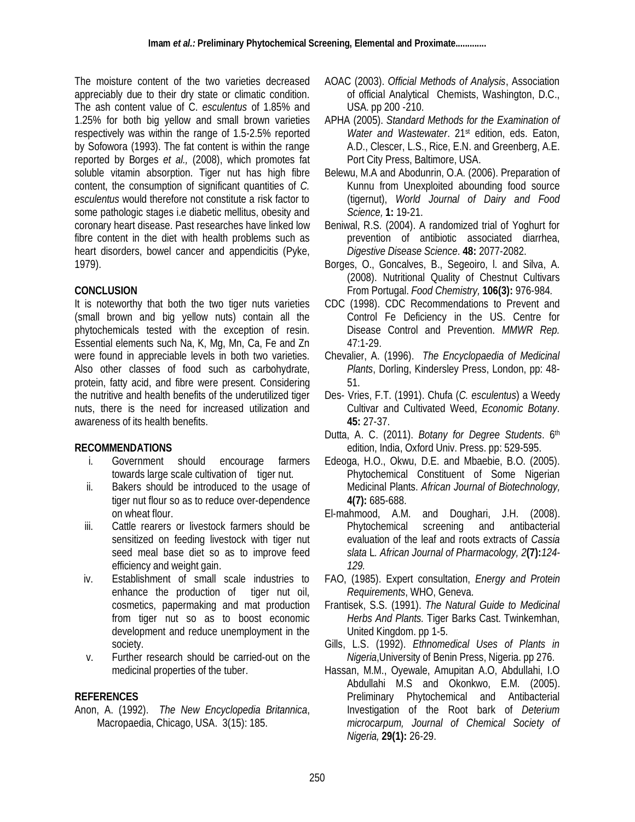The moisture content of the two varieties decreased appreciably due to their dry state or climatic condition. The ash content value of C. *esculentus* of 1.85% and 1.25% for both big yellow and small brown varieties respectively was within the range of 1.5-2.5% reported by Sofowora (1993). The fat content is within the range reported by Borges *et al.,* (2008), which promotes fat soluble vitamin absorption. Tiger nut has high fibre content, the consumption of significant quantities of *C. esculentus* would therefore not constitute a risk factor to some pathologic stages i.e diabetic mellitus, obesity and coronary heart disease. Past researches have linked low fibre content in the diet with health problems such as heart disorders, bowel cancer and appendicitis (Pyke, 1979).

### **CONCLUSION**

It is noteworthy that both the two tiger nuts varieties (small brown and big yellow nuts) contain all the phytochemicals tested with the exception of resin. Essential elements such Na, K, Mg, Mn, Ca, Fe and Zn were found in appreciable levels in both two varieties. Also other classes of food such as carbohydrate, protein, fatty acid, and fibre were present. Considering the nutritive and health benefits of the underutilized tiger nuts, there is the need for increased utilization and awareness of its health benefits.

### **RECOMMENDATIONS**

- i. Government should encourage farmers towards large scale cultivation of tiger nut.
- ii. Bakers should be introduced to the usage of tiger nut flour so as to reduce over-dependence on wheat flour.
- iii. Cattle rearers or livestock farmers should be sensitized on feeding livestock with tiger nut seed meal base diet so as to improve feed efficiency and weight gain.
- iv. Establishment of small scale industries to enhance the production of tiger nut oil, cosmetics, papermaking and mat production from tiger nut so as to boost economic development and reduce unemployment in the society.
- v. Further research should be carried-out on the medicinal properties of the tuber.

### **REFERENCES**

Anon, A. (1992). *The New Encyclopedia Britannica*, Macropaedia, Chicago, USA. 3(15): 185.

- AOAC (2003). *Official Methods of Analysis*, Association of official Analytical Chemists, Washington, D.C., USA. pp 200 -210.
- APHA (2005). *Standard Methods for the Examination of Water and Wastewater*. 21st edition, eds. Eaton, A.D., Clescer, L.S., Rice, E.N. and Greenberg, A.E. Port City Press, Baltimore, USA.
- Belewu, M.A and Abodunrin, O.A. (2006). Preparation of Kunnu from Unexploited abounding food source (tigernut), *World Journal of Dairy and Food Science,* **1:** 19-21.
- Beniwal, R.S. (2004). A randomized trial of Yoghurt for prevention of antibiotic associated diarrhea, *Digestive Disease Science*. **48:** 2077-2082.
- Borges, O., Goncalves, B., Segeoiro, l. and Silva, A. (2008). Nutritional Quality of Chestnut Cultivars From Portugal. *Food Chemistry,* **106(3):** 976-984*.*
- CDC (1998). CDC Recommendations to Prevent and Control Fe Deficiency in the US. Centre for Disease Control and Prevention. *MMWR Rep.* 47:1-29.
- Chevalier, A. (1996). *The Encyclopaedia of Medicinal Plants*, Dorling, Kindersley Press, London, pp: 48- 51.
- Des- Vries, F.T. (1991). Chufa (*C. esculentus*) a Weedy Cultivar and Cultivated Weed, *Economic Botany*. **45:** 27-37.
- Dutta, A. C. (2011). *Botany for Degree Students*. 6th edition, India, Oxford Univ. Press. pp: 529-595.
- Edeoga, H.O., Okwu, D.E. and Mbaebie, B.O. (2005). Phytochemical Constituent of Some Nigerian Medicinal Plants. *African Journal of Biotechnology,*  **4(7):** 685-688.
- El-mahmood, A.M. and Doughari, J.H. (2008). Phytochemical screening and antibacterial evaluation of the leaf and roots extracts of *Cassia slata* L*. African Journal of Pharmacology, 2***(7):***124- 129.*
- FAO, (1985). Expert consultation, *Energy and Protein Requirements*, WHO, Geneva.
- Frantisek, S.S. (1991). *The Natural Guide to Medicinal Herbs And Plants.* Tiger Barks Cast. Twinkemhan, United Kingdom. pp 1-5.
- Gills, L.S. (1992). *Ethnomedical Uses of Plants in Nigeria*,University of Benin Press, Nigeria. pp 276.
- Hassan, M.M., Oyewale, Amupitan A.O, Abdullahi, I.O Abdullahi M.S and Okonkwo, E.M. (2005). Preliminary Phytochemical and Antibacterial Investigation of the Root bark of *Deterium microcarpum, Journal of Chemical Society of Nigeria,* **29(1):** 26-29.